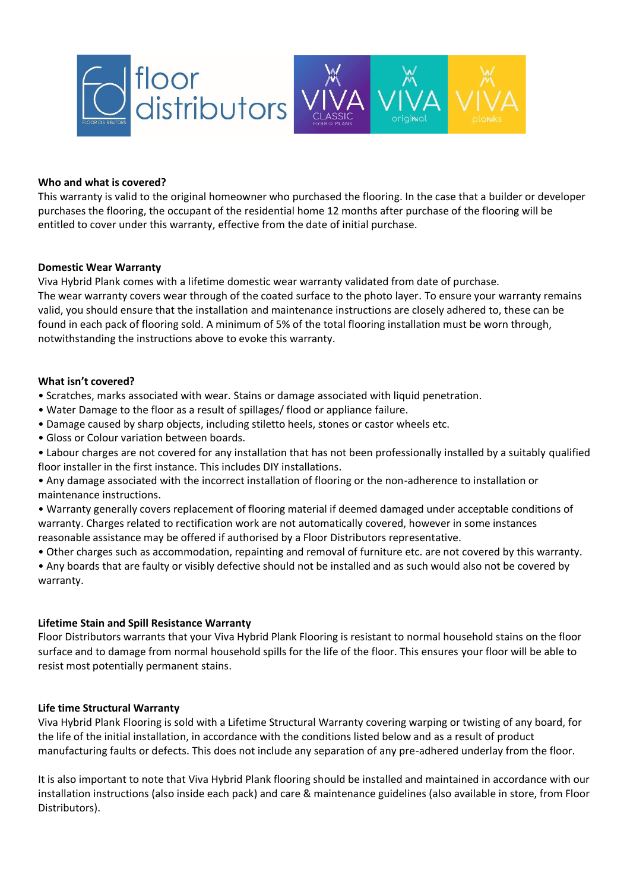

#### **Who and what is covered?**

This warranty is valid to the original homeowner who purchased the flooring. In the case that a builder or developer purchases the flooring, the occupant of the residential home 12 months after purchase of the flooring will be entitled to cover under this warranty, effective from the date of initial purchase.

#### **Domestic Wear Warranty**

Viva Hybrid Plank comes with a lifetime domestic wear warranty validated from date of purchase.

The wear warranty covers wear through of the coated surface to the photo layer. To ensure your warranty remains valid, you should ensure that the installation and maintenance instructions are closely adhered to, these can be found in each pack of flooring sold. A minimum of 5% of the total flooring installation must be worn through, notwithstanding the instructions above to evoke this warranty.

#### **What isn't covered?**

• Scratches, marks associated with wear. Stains or damage associated with liquid penetration.

- Water Damage to the floor as a result of spillages/ flood or appliance failure.
- Damage caused by sharp objects, including stiletto heels, stones or castor wheels etc.
- Gloss or Colour variation between boards.

• Labour charges are not covered for any installation that has not been professionally installed by a suitably qualified floor installer in the first instance. This includes DIY installations.

• Any damage associated with the incorrect installation of flooring or the non-adherence to installation or maintenance instructions.

• Warranty generally covers replacement of flooring material if deemed damaged under acceptable conditions of warranty. Charges related to rectification work are not automatically covered, however in some instances reasonable assistance may be offered if authorised by a Floor Distributors representative.

• Other charges such as accommodation, repainting and removal of furniture etc. are not covered by this warranty.

• Any boards that are faulty or visibly defective should not be installed and as such would also not be covered by warranty.

# **Lifetime Stain and Spill Resistance Warranty**

Floor Distributors warrants that your Viva Hybrid Plank Flooring is resistant to normal household stains on the floor surface and to damage from normal household spills for the life of the floor. This ensures your floor will be able to resist most potentially permanent stains.

# **Life time Structural Warranty**

Viva Hybrid Plank Flooring is sold with a Lifetime Structural Warranty covering warping or twisting of any board, for the life of the initial installation, in accordance with the conditions listed below and as a result of product manufacturing faults or defects. This does not include any separation of any pre-adhered underlay from the floor.

It is also important to note that Viva Hybrid Plank flooring should be installed and maintained in accordance with our installation instructions (also inside each pack) and care & maintenance guidelines (also available in store, from Floor Distributors).